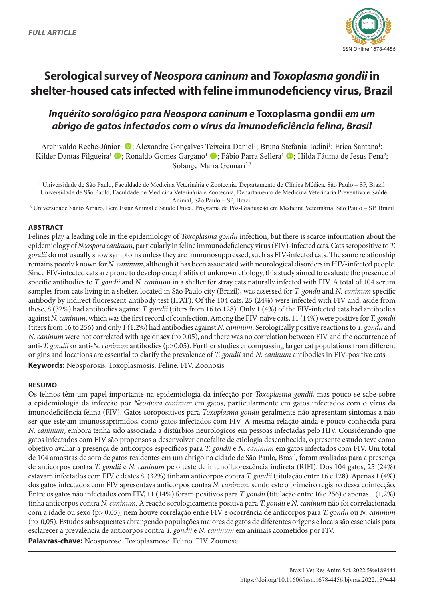

# **Serological survey of** *Neospora caninum* **and** *Toxoplasma gondii* **in shelter-housed cats infected with feline immunodeficiency virus, Brazil**

# *Inquérito sorológico para Neospora caninum e* **Toxoplasma gondii** *em um abrigo de gatos infectados com o vírus da imunodeficiência felina, Brasil*

Archivaldo Reche-Júnior<sup>1</sup> (D; Alexandre Gonçalves Teixeira Daniel<sup>1</sup>; Bruna Stefania Tadini<sup>1</sup>; Erica Santana<sup>1</sup>; Kilder Dantas Filgueira<sup>1</sup> (D; Ronaldo Gomes Gargano<sup>1</sup> (D; Fábio Parra Sellera<sup>1</sup> (D; Hilda Fátima de Jesus Pena<sup>2</sup>; Solange Maria Gennari<sup>2,3</sup>

1 Universidade de São Paulo, Faculdade de Medicina Veterinária e Zootecnia, Departamento de Clínica Médica, São Paulo – SP, Brazil 2 Universidade de São Paulo, Faculdade de Medicina Veterinária e Zootecnia, Departamento de Medicina Veterinária Preventiva e Saúde Animal, São Paulo – SP, Brazil

3 Universidade Santo Amaro, Bem Estar Animal e Saude Única, Programa de Pós-Graduação em Medicina Veterinária, São Paulo – SP, Brazil

#### **ABSTRACT**

Felines play a leading role in the epidemiology of *Toxoplasma gondii* infection, but there is scarce information about the epidemiology of *Neospora caninum*, particularly in feline immunodeficiency virus (FIV)-infected cats. Cats seropositive to *T. gondii* do not usually show symptoms unless they are immunosuppressed, such as FIV-infected cats. The same relationship remains poorly known for *N. caninum*, although it has been associated with neurological disorders in HIV-infected people. Since FIV-infected cats are prone to develop encephalitis of unknown etiology, this study aimed to evaluate the presence of specific antibodies to *T. gondii* and *N. caninum* in a shelter for stray cats naturally infected with FIV. A total of 104 serum samples from cats living in a shelter, located in São Paulo city (Brazil), was assessed for *T. gondii* and *N. caninum* specific antibody by indirect fluorescent-antibody test (IFAT). Of the 104 cats, 25 (24%) were infected with FIV and, aside from these, 8 (32%) had antibodies against *T. gondii* (titers from 16 to 128). Only 1 (4%) of the FIV-infected cats had antibodies against *N. caninum*, which was the first record of coinfection. Among the FIV-naïve cats, 11 (14%) were positive for *T. gondii* (titers from 16 to 256) and only 1 (1.2%) had antibodies against *N. caninum*. Serologically positive reactions to *T. gondii* and *N. caninum* were not correlated with age or sex (p>0.05), and there was no correlation between FIV and the occurrence of anti-*T. gondii* or anti-*N. caninum* antibodies (p>0.05). Further studies encompassing larger cat populations from different origins and locations are essential to clarify the prevalence of *T. gondii* and *N. caninum* antibodies in FIV-positive cats. **Keywords:** Neosporosis. Toxoplasmosis. Feline. FIV. Zoonosis.

# **RESUMO**

Os felinos têm um papel importante na epidemiologia da infecção por *Toxoplasma gondii*, mas pouco se sabe sobre a epidemiologia da infecção por *Neospora caninum* em gatos, particularmente em gatos infectados com o vírus da imunodeficiência felina (FIV). Gatos soropositivos para *Toxoplasma gondii* geralmente não apresentam sintomas a não ser que estejam imunossuprimidos, como gatos infectados com FIV. A mesma relação ainda é pouco conhecida para *N. caninum*, embora tenha sido associada a distúrbios neurológicos em pessoas infectadas pelo HIV. Considerando que gatos infectados com FIV são propensos a desenvolver encefalite de etiologia desconhecida, o presente estudo teve como objetivo avaliar a presença de anticorpos específicos para *T. gondii* e *N. caninum* em gatos infectados com FIV. Um total de 104 amostras de soro de gatos residentes em um abrigo na cidade de São Paulo, Brasil, foram avaliadas para a presença de anticorpos contra *T. gondii* e *N. caninum* pelo teste de imunofluorescência indireta (RIFI). Dos 104 gatos, 25 (24%) estavam infectados com FIV e destes 8, (32%) tinham anticorpos contra *T. gondii* (titulação entre 16 e 128). Apenas 1 (4%) dos gatos infectados com FIV apresentava anticorpos contra *N. caninum*, sendo este o primeiro registro dessa coinfecção. Entre os gatos não infectados com FIV, 11 (14%) foram positivos para *T. gondii* (titulação entre 16 e 256) e apenas 1 (1,2%) tinha anticorpos contra *N. caninum.* A reação sorologicamente positiva para *T. gondii* e *N. caninum* não foi correlacionada com a idade ou sexo (p> 0,05), nem houve correlação entre FIV e ocorrência de anticorpos para *T. gondii* ou *N. caninum* (p> 0,05). Estudos subsequentes abrangendo populações maiores de gatos de diferentes origens e locais são essenciais para esclarecer a prevalência de anticorpos contra *T. gondii* e *N. caninum* em animais acometidos por FIV.

**Palavras-chave:** Neosporose. Toxoplasmose. Felino. FIV. Zoonose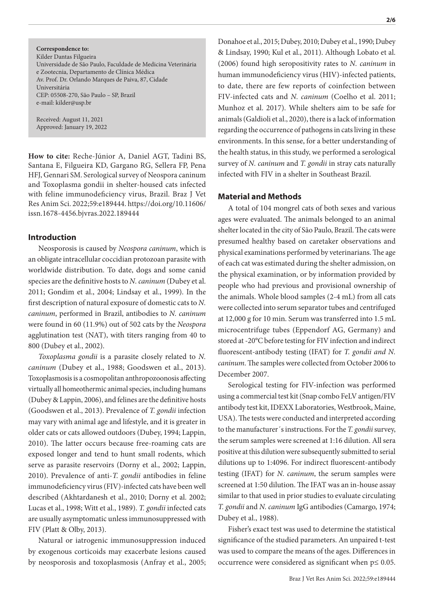**Correspondence to:** Kilder Dantas Filgueira Universidade de São Paulo, Faculdade de Medicina Veterinária e Zootecnia, Departamento de Clínica Médica Av. Prof. Dr. Orlando Marques de Paiva, 87, Cidade Universitária CEP: 05508-270, São Paulo – SP, Brazil e-mail: kilder@usp.br

Received: August 11, 2021 Approved: January 19, 2022

**How to cite:** Reche-Júnior A, Daniel AGT, Tadini BS, Santana E, Filgueira KD, Gargano RG, Sellera FP, Pena HFJ, Gennari SM. Serological survey of Neospora caninum and Toxoplasma gondii in shelter-housed cats infected with feline immunodeficiency virus, Brazil. Braz J Vet Res Anim Sci. 2022;59:e189444. https://doi.org/10.11606/ issn.1678-4456.bjvras.2022.189444

### **Introduction**

Neosporosis is caused by *Neospora caninum*, which is an obligate intracellular coccidian protozoan parasite with worldwide distribution. To date, dogs and some canid species are the definitive hosts to *N. caninum* (Dubey et al. 2011; Gondim et al., 2004; Lindsay et al., 1999). In the first description of natural exposure of domestic cats to *N. caninum*, performed in Brazil, antibodies to *N. caninum* were found in 60 (11.9%) out of 502 cats by the *Neospora* agglutination test (NAT), with titers ranging from 40 to 800 (Dubey et al., 2002).

*Toxoplasma gondii* is a parasite closely related to *N. caninum* (Dubey et al., 1988; Goodswen et al., 2013). Toxoplasmosis is a cosmopolitan anthropozoonosis affecting virtually all homeothermic animal species, including humans (Dubey & Lappin, 2006), and felines are the definitive hosts (Goodswen et al., 2013). Prevalence of *T. gondii* infection may vary with animal age and lifestyle, and it is greater in older cats or cats allowed outdoors (Dubey, 1994; Lappin, 2010). The latter occurs because free-roaming cats are exposed longer and tend to hunt small rodents, which serve as parasite reservoirs (Dorny et al., 2002; Lappin, 2010). Prevalence of anti-*T. gondii* antibodies in feline immunodeficiency virus (FIV)-infected cats have been well described (Akhtardanesh et al., 2010; Dorny et al. 2002; Lucas et al., 1998; Witt et al., 1989). *T. gondii* infected cats are usually asymptomatic unless immunosuppressed with FIV (Platt & Olby, 2013).

Natural or iatrogenic immunosuppression induced by exogenous corticoids may exacerbate lesions caused by neosporosis and toxoplasmosis (Anfray et al., 2005;

Donahoe et al., 2015; Dubey, 2010; Dubey et al., 1990; Dubey & Lindsay, 1990; Kul et al., 2011). Although Lobato et al. (2006) found high seropositivity rates to *N. caninum* in human immunodeficiency virus (HIV)-infected patients, to date, there are few reports of coinfection between FIV-infected cats and *N. caninum* (Coelho et al. 2011; Munhoz et al. 2017). While shelters aim to be safe for animals (Galdioli et al., 2020), there is a lack of information regarding the occurrence of pathogens in cats living in these environments. In this sense, for a better understanding of the health status, in this study, we performed a serological survey of *N. caninum* and *T. gondii* in stray cats naturally infected with FIV in a shelter in Southeast Brazil.

#### **Material and Methods**

A total of 104 mongrel cats of both sexes and various ages were evaluated. The animals belonged to an animal shelter located in the city of São Paulo, Brazil. The cats were presumed healthy based on caretaker observations and physical examinations performed by veterinarians. The age of each cat was estimated during the shelter admission, on the physical examination, or by information provided by people who had previous and provisional ownership of the animals. Whole blood samples (2-4 mL) from all cats were collected into serum separator tubes and centrifuged at 12,000 g for 10 min. Serum was transferred into 1.5 mL microcentrifuge tubes (Eppendorf AG, Germany) and stored at -20°C before testing for FIV infection and indirect fluorescent-antibody testing (IFAT) for *T. gondii and N. caninum*. The samples were collected from October 2006 to December 2007.

Serological testing for FIV-infection was performed using a commercial test kit (Snap combo FeLV antigen/FIV antibody test kit, IDEXX Laboratories, Westbrook, Maine, USA). The tests were conducted and interpreted according to the manufacturer´s instructions. For the *T. gondii* survey, the serum samples were screened at 1:16 dilution. All sera positive at this dilution were subsequently submitted to serial dilutions up to 1:4096. For indirect fluorescent-antibody testing (IFAT) for *N. caninum*, the serum samples were screened at 1:50 dilution. The IFAT was an in-house assay similar to that used in prior studies to evaluate circulating *T. gondii* and *N. caninum* IgG antibodies (Camargo, 1974; Dubey et al., 1988).

Fisher's exact test was used to determine the statistical significance of the studied parameters. An unpaired t-test was used to compare the means of the ages. Differences in occurrence were considered as significant when p≤ 0.05.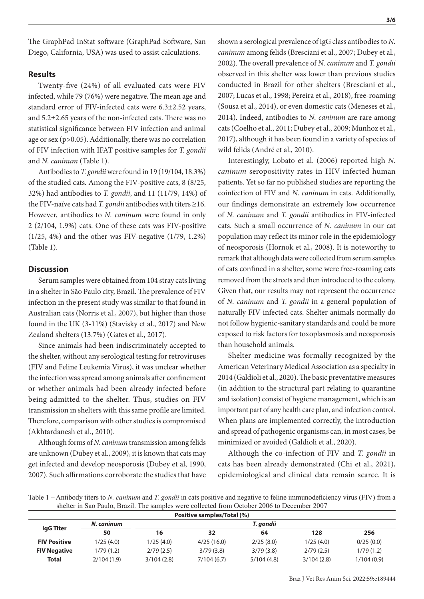The GraphPad InStat software (GraphPad Software, San Diego, California, USA) was used to assist calculations.

#### **Results**

Twenty-five (24%) of all evaluated cats were FIV infected, while 79 (76%) were negative. The mean age and standard error of FIV-infected cats were 6.3±2.52 years, and 5.2±2.65 years of the non-infected cats. There was no statistical significance between FIV infection and animal age or sex (p>0.05). Additionally, there was no correlation of FIV infection with IFAT positive samples for *T. gondii* and *N. caninum* (Table 1).

Antibodies to *T. gondii* were found in 19 (19/104, 18.3%) of the studied cats. Among the FIV-positive cats, 8 (8/25, 32%) had antibodies to *T. gondii*, and 11 (11/79, 14%) of the FIV-naïve cats had *T. gondii* antibodies with titers ≥16. However, antibodies to *N. caninum* were found in only 2 (2/104, 1.9%) cats. One of these cats was FIV-positive (1/25, 4%) and the other was FIV-negative (1/79, 1.2%) (Table 1).

### **Discussion**

Serum samples were obtained from 104 stray cats living in a shelter in São Paulo city, Brazil. The prevalence of FIV infection in the present study was similar to that found in Australian cats (Norris et al., 2007), but higher than those found in the UK (3-11%) (Stavisky et al., 2017) and New Zealand shelters (13.7%) (Gates et al., 2017).

Since animals had been indiscriminately accepted to the shelter, without any serological testing for retroviruses (FIV and Feline Leukemia Virus), it was unclear whether the infection was spread among animals after confinement or whether animals had been already infected before being admitted to the shelter. Thus, studies on FIV transmission in shelters with this same profile are limited. Therefore, comparison with other studies is compromised (Akhtardanesh et al., 2010).

Although forms of *N. caninum* transmission among felids are unknown (Dubey et al., 2009), it is known that cats may get infected and develop neosporosis (Dubey et al, 1990, 2007). Such affirmations corroborate the studies that have

shown a serological prevalence of IgG class antibodies to *N. caninum* among felids (Bresciani et al., 2007; Dubey et al., 2002). The overall prevalence of *N. caninum* and *T. gondii* observed in this shelter was lower than previous studies conducted in Brazil for other shelters (Bresciani et al., 2007; Lucas et al., 1998; Pereira et al., 2018), free-roaming (Sousa et al., 2014), or even domestic cats (Meneses et al., 2014). Indeed, antibodies to *N. caninum* are rare among cats (Coelho et al., 2011; Dubey et al., 2009; Munhoz et al., 2017), although it has been found in a variety of species of wild felids (André et al., 2010).

Interestingly, Lobato et al. (2006) reported high *N. caninum* seropositivity rates in HIV-infected human patients. Yet so far no published studies are reporting the coinfection of FIV and *N. caninum* in cats. Additionally, our findings demonstrate an extremely low occurrence of *N. caninum* and *T. gondii* antibodies in FIV-infected cats. Such a small occurrence of *N. caninum* in our cat population may reflect its minor role in the epidemiology of neosporosis (Hornok et al., 2008). It is noteworthy to remark that although data were collected from serum samples of cats confined in a shelter, some were free-roaming cats removed from the streets and then introduced to the colony. Given that, our results may not represent the occurrence of *N. caninum* and *T. gondii* in a general population of naturally FIV-infected cats. Shelter animals normally do not follow hygienic-sanitary standards and could be more exposed to risk factors for toxoplasmosis and neosporosis than household animals.

Shelter medicine was formally recognized by the American Veterinary Medical Association as a specialty in 2014 (Galdioli et al., 2020). The basic preventative measures (in addition to the structural part relating to quarantine and isolation) consist of hygiene management, which is an important part of any health care plan, and infection control. When plans are implemented correctly, the introduction and spread of pathogenic organisms can, in most cases, be minimized or avoided (Galdioli et al., 2020).

Although the co-infection of FIV and *T. gondii* in cats has been already demonstrated (Chi et al., 2021), epidemiological and clinical data remain scarce. It is

Table 1 – Antibody titers to *N. caninum* and *T. gondii* in cats positive and negative to feline immunodeficiency virus (FIV) from a shelter in Sao Paulo, Brazil. The samples were collected from October 2006 to December 2007

| Positive samples/Total (%) |            |            |            |            |            |            |
|----------------------------|------------|------------|------------|------------|------------|------------|
| lgG Titer                  | N. caninum | T. gondii  |            |            |            |            |
|                            | 50         | 16         | 32         | 64         | 128        | 256        |
| <b>FIV Positive</b>        | 1/25(4.0)  | 1/25(4.0)  | 4/25(16.0) | 2/25(8.0)  | 1/25(4.0)  | 0/25(0.0)  |
| <b>FIV Negative</b>        | 1/79(1.2)  | 2/79(2.5)  | 3/79(3.8)  | 3/79(3.8)  | 2/79(2.5)  | 1/79(1.2)  |
| <b>Total</b>               | 2/104(1.9) | 3/104(2.8) | 7/104(6.7) | 5/104(4.8) | 3/104(2.8) | 1/104(0.9) |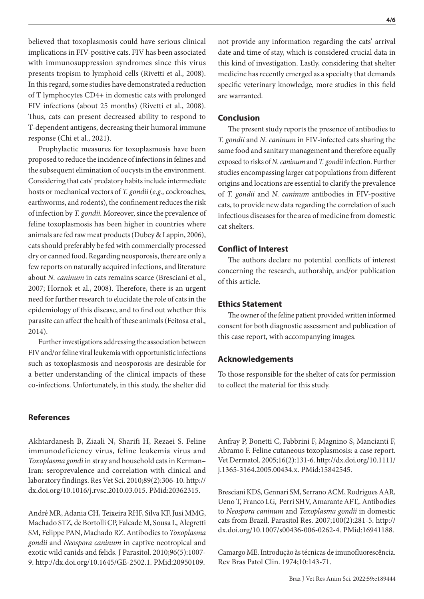believed that toxoplasmosis could have serious clinical implications in FIV-positive cats. FIV has been associated with immunosuppression syndromes since this virus presents tropism to lymphoid cells (Rivetti et al., 2008). In this regard, some studies have demonstrated a reduction of T lymphocytes CD4+ in domestic cats with prolonged FIV infections (about 25 months) (Rivetti et al., 2008). Thus, cats can present decreased ability to respond to T-dependent antigens, decreasing their humoral immune response (Chi et al., 2021).

Prophylactic measures for toxoplasmosis have been proposed to reduce the incidence of infections in felines and the subsequent elimination of oocysts in the environment. Considering that cats' predatory habits include intermediate hosts or mechanical vectors of *T. gondii* (*e.g.,* cockroaches, earthworms, and rodents), the confinement reduces the risk of infection by *T. gondii.* Moreover, since the prevalence of feline toxoplasmosis has been higher in countries where animals are fed raw meat products (Dubey & Lappin, 2006), cats should preferably be fed with commercially processed dry or canned food. Regarding neosporosis, there are only a few reports on naturally acquired infections, and literature about *N. caninum* in cats remains scarce (Bresciani et al., 2007; Hornok et al., 2008). Therefore, there is an urgent need for further research to elucidate the role of cats in the epidemiology of this disease, and to find out whether this parasite can affect the health of these animals (Feitosa et al., 2014).

Further investigations addressing the association between FIV and/or feline viral leukemia with opportunistic infections such as toxoplasmosis and neosporosis are desirable for a better understanding of the clinical impacts of these co-infections. Unfortunately, in this study, the shelter did

# **References**

Akhtardanesh B, Ziaali N, Sharifi H, Rezaei S. Feline immunodeficiency virus, feline leukemia virus and *Toxoplasma gondi* in stray and household cats in Kerman– Iran: seroprevalence and correlation with clinical and laboratory findings. Res Vet Sci. 2010;89(2):306-10. [http://](https://doi.org/10.1016/j.rvsc.2010.03.015) [dx.doi.org/10.1016/j.rvsc.2010.03.015.](https://doi.org/10.1016/j.rvsc.2010.03.015) [PMid:20362315.](https://www.ncbi.nlm.nih.gov/entrez/query.fcgi?cmd=Retrieve&db=PubMed&list_uids=20362315&dopt=Abstract)

André MR, Adania CH, Teixeira RHF, Silva KF, Jusi MMG, Machado STZ, de Bortolli CP, Falcade M, Sousa L, Alegretti SM, Felippe PAN, Machado RZ. Antibodies to *Toxoplasma gondii* and *Neospora caninum* in captive neotropical and exotic wild canids and felids. J Parasitol. 2010;96(5):1007- 9. [http://dx.doi.org/10.1645/GE-2502.1](https://doi.org/10.1645/GE-2502.1)[. PMid:20950109.](https://www.ncbi.nlm.nih.gov/entrez/query.fcgi?cmd=Retrieve&db=PubMed&list_uids=20950109&dopt=Abstract)

not provide any information regarding the cats' arrival date and time of stay, which is considered crucial data in this kind of investigation. Lastly, considering that shelter medicine has recently emerged as a specialty that demands specific veterinary knowledge, more studies in this field are warranted.

#### **Conclusion**

The present study reports the presence of antibodies to *T. gondii* and *N. caninum* in FIV-infected cats sharing the same food and sanitary management and therefore equally exposed to risks of *N. caninum* and *T. gondii* infection. Further studies encompassing larger cat populations from different origins and locations are essential to clarify the prevalence of *T. gondii* and *N. caninum* antibodies in FIV-positive cats, to provide new data regarding the correlation of such infectious diseases for the area of medicine from domestic cat shelters.

# **Conflict of Interest**

The authors declare no potential conflicts of interest concerning the research, authorship, and/or publication of this article.

#### **Ethics Statement**

The owner of the feline patient provided written informed consent for both diagnostic assessment and publication of this case report, with accompanying images.

#### **Acknowledgements**

To those responsible for the shelter of cats for permission to collect the material for this study.

Anfray P, Bonetti C, Fabbrini F, Magnino S, Mancianti F, Abramo F. Feline cutaneous toxoplasmosis: a case report. Vet Dermatol. 2005;16(2):131-6. [http://dx.doi.org/10.1111/](https://doi.org/10.1111/j.1365-3164.2005.00434.x) [j.1365-3164.2005.00434.x](https://doi.org/10.1111/j.1365-3164.2005.00434.x)[. PMid:15842545.](https://www.ncbi.nlm.nih.gov/entrez/query.fcgi?cmd=Retrieve&db=PubMed&list_uids=15842545&dopt=Abstract)

Bresciani KDS, Gennari SM, Serrano ACM, Rodrigues AAR, Ueno T, Franco LG, Perri SHV, Amarante AFT,. Antibodies to *Neospora caninum* and *Toxoplasma gondii* in domestic cats from Brazil. Parasitol Res. 2007;100(2):281-5. [http://](https://doi.org/10.1007/s00436-006-0262-4) [dx.doi.org/10.1007/s00436-006-0262-4](https://doi.org/10.1007/s00436-006-0262-4)[. PMid:16941188.](https://www.ncbi.nlm.nih.gov/entrez/query.fcgi?cmd=Retrieve&db=PubMed&list_uids=16941188&dopt=Abstract)

Camargo ME. Introdução às técnicas de imunofluorescência. Rev Bras Patol Clin. 1974;10:143-71.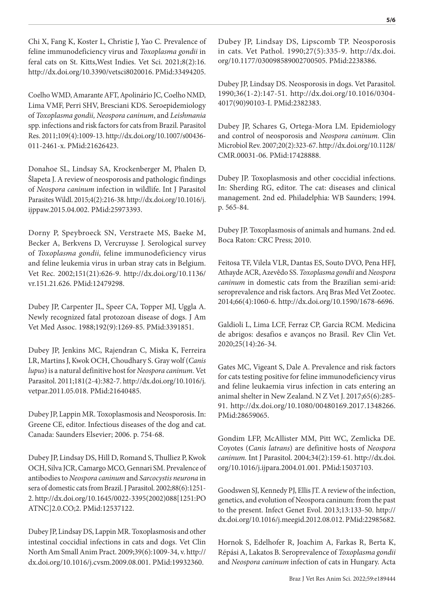Chi X, Fang K, Koster L, Christie J, Yao C. Prevalence of feline immunodeficiency virus and *Toxoplasma gondii* in feral cats on St. Kitts,West Indies. Vet Sci. 2021;8(2):16. [http://dx.doi.org/10.3390/vetsci8020016.](https://doi.org/10.3390/vetsci8020016) [PMid:33494205.](https://www.ncbi.nlm.nih.gov/entrez/query.fcgi?cmd=Retrieve&db=PubMed&list_uids=33494205&dopt=Abstract)

Coelho WMD, Amarante AFT, Apolinário JC, Coelho NMD, Lima VMF, Perri SHV, Bresciani KDS. Seroepidemiology of *Toxoplasma gondii, Neospora caninum*, and *Leishmania* spp. infections and risk factors for cats from Brazil. Parasitol Res. 2011;109(4):1009-13. [http://dx.doi.org/10.1007/s00436-](https://doi.org/10.1007/s00436-011-2461-x) [011-2461-x.](https://doi.org/10.1007/s00436-011-2461-x) [PMid:21626423.](https://www.ncbi.nlm.nih.gov/entrez/query.fcgi?cmd=Retrieve&db=PubMed&list_uids=21626423&dopt=Abstract)

Donahoe SL, Lindsay SA, Krockenberger M, Phalen D, Šlapeta J. A review of neosporosis and pathologic findings of *Neospora caninum* infection in wildlife. Int J Parasitol Parasites Wildl. 2015;4(2):216-38. [http://dx.doi.org/10.1016/j.](https://doi.org/10.1016/j.ijppaw.2015.04.002) [ijppaw.2015.04.002](https://doi.org/10.1016/j.ijppaw.2015.04.002). [PMid:25973393.](https://www.ncbi.nlm.nih.gov/entrez/query.fcgi?cmd=Retrieve&db=PubMed&list_uids=25973393&dopt=Abstract)

Dorny P, Speybroeck SN, Verstraete MS, Baeke M, Becker A, Berkvens D, Vercruysse J. Serological survey of *Toxoplasma gondii*, feline immunodeficiency virus and feline leukemia virus in urban stray cats in Belgium. Vet Rec. 2002;151(21):626-9. [http://dx.doi.org/10.1136/](https://doi.org/10.1136/vr.151.21.626) [vr.151.21.626](https://doi.org/10.1136/vr.151.21.626)[. PMid:12479298.](https://www.ncbi.nlm.nih.gov/entrez/query.fcgi?cmd=Retrieve&db=PubMed&list_uids=12479298&dopt=Abstract)

Dubey JP, Carpenter JL, Speer CA, Topper MJ, Uggla A. Newly recognized fatal protozoan disease of dogs. J Am Vet Med Assoc. 1988;192(9):1269-85[. PMid:3391851.](https://www.ncbi.nlm.nih.gov/entrez/query.fcgi?cmd=Retrieve&db=PubMed&list_uids=3391851&dopt=Abstract)

Dubey JP, Jenkins MC, Rajendran C, Miska K, Ferreira LR, Martins J, Kwok OCH, Choudhary S. Gray wolf (*Canis lupus*) is a natural definitive host for *Neospora caninum.* Vet Parasitol. 2011;181(2-4):382-7. [http://dx.doi.org/10.1016/j.](https://doi.org/10.1016/j.vetpar.2011.05.018) [vetpar.2011.05.018.](https://doi.org/10.1016/j.vetpar.2011.05.018) [PMid:21640485.](https://www.ncbi.nlm.nih.gov/entrez/query.fcgi?cmd=Retrieve&db=PubMed&list_uids=21640485&dopt=Abstract)

Dubey JP, Lappin MR. Toxoplasmosis and Neosporosis. In: Greene CE, editor. Infectious diseases of the dog and cat. Canada: Saunders Elsevier; 2006. p. 754-68.

Dubey JP, Lindsay DS, Hill D, Romand S, Thulliez P, Kwok OCH, Silva JCR, Camargo MCO, Gennari SM. Prevalence of antibodies to *Neospora caninum* and *Sarcocystis neurona* in sera of domestic cats from Brazil. J Parasitol. 2002;88(6):1251- 2. [http://dx.doi.org/10.1645/0022-3395\(2002\)088\[1251:PO](https://doi.org/10.1645/0022-3395(2002)088%5b1251:POATNC%5d2.0.CO;2) [ATNC\]2.0.CO;2.](https://doi.org/10.1645/0022-3395(2002)088%5b1251:POATNC%5d2.0.CO;2) [PMid:12537122.](https://www.ncbi.nlm.nih.gov/entrez/query.fcgi?cmd=Retrieve&db=PubMed&list_uids=12537122&dopt=Abstract)

Dubey JP, Lindsay DS, Lappin MR. Toxoplasmosis and other intestinal coccidial infections in cats and dogs. Vet Clin North Am Small Anim Pract. 2009;39(6):1009-34, v. [http://](https://doi.org/10.1016/j.cvsm.2009.08.001) [dx.doi.org/10.1016/j.cvsm.2009.08.001](https://doi.org/10.1016/j.cvsm.2009.08.001). [PMid:19932360.](https://www.ncbi.nlm.nih.gov/entrez/query.fcgi?cmd=Retrieve&db=PubMed&list_uids=19932360&dopt=Abstract)

Dubey JP, Lindsay DS, Lipscomb TP. Neosporosis in cats. Vet Pathol. 1990;27(5):335-9. [http://dx.doi.](https://doi.org/10.1177/030098589002700505) [org/10.1177/030098589002700505](https://doi.org/10.1177/030098589002700505). [PMid:2238386.](https://www.ncbi.nlm.nih.gov/entrez/query.fcgi?cmd=Retrieve&db=PubMed&list_uids=2238386&dopt=Abstract)

Dubey JP, Lindsay DS. Neosporosis in dogs. Vet Parasitol. 1990;36(1-2):147-51. [http://dx.doi.org/10.1016/0304-](https://doi.org/10.1016/0304-4017(90)90103-I) [4017\(90\)90103-I.](https://doi.org/10.1016/0304-4017(90)90103-I) [PMid:2382383.](https://www.ncbi.nlm.nih.gov/entrez/query.fcgi?cmd=Retrieve&db=PubMed&list_uids=2382383&dopt=Abstract)

Dubey JP, Schares G, Ortega-Mora LM. Epidemiology and control of neosporosis and *Neospora caninum.* Clin Microbiol Rev. 2007;20(2):323-67. [http://dx.doi.org/10.1128/](https://doi.org/10.1128/CMR.00031-06) [CMR.00031-06.](https://doi.org/10.1128/CMR.00031-06) [PMid:17428888.](https://www.ncbi.nlm.nih.gov/entrez/query.fcgi?cmd=Retrieve&db=PubMed&list_uids=17428888&dopt=Abstract)

Dubey JP. Toxoplasmosis and other coccidial infections. In: Sherding RG, editor. The cat: diseases and clinical management. 2nd ed. Philadelphia: WB Saunders; 1994. p. 565-84.

Dubey JP. Toxoplasmosis of animals and humans. 2nd ed. Boca Raton: CRC Press; 2010.

Feitosa TF, Vilela VLR, Dantas ES, Souto DVO, Pena HFJ, Athayde ACR, Azevêdo SS. *Toxoplasma gondii* and *Neospora caninum* in domestic cats from the Brazilian semi-arid: seroprevalence and risk factors. Arq Bras Med Vet Zootec. 2014;66(4):1060-6. [http://dx.doi.org/10.1590/1678-6696](https://doi.org/10.1590/1678-6696).

Galdioli L, Lima LCF, Ferraz CP, Garcia RCM. Medicina de abrigos: desafios e avanços no Brasil. Rev Clin Vet. 2020;25(14):26-34.

Gates MC, Vigeant S, Dale A. Prevalence and risk factors for cats testing positive for feline immunodeficiency virus and feline leukaemia virus infection in cats entering an animal shelter in New Zealand. N Z Vet J. 2017;65(6):285- 91. [http://dx.doi.org/10.1080/00480169.2017.1348266](https://doi.org/10.1080/00480169.2017.1348266). [PMid:28659065.](https://www.ncbi.nlm.nih.gov/entrez/query.fcgi?cmd=Retrieve&db=PubMed&list_uids=28659065&dopt=Abstract)

Gondim LFP, McAllister MM, Pitt WC, Zemlicka DE. Coyotes (*Canis latrans*) are definitive hosts of *Neospora caninum.* Int J Parasitol. 2004;34(2):159-61. [http://dx.doi.](https://doi.org/10.1016/j.ijpara.2004.01.001) [org/10.1016/j.ijpara.2004.01.001](https://doi.org/10.1016/j.ijpara.2004.01.001). [PMid:15037103.](https://www.ncbi.nlm.nih.gov/entrez/query.fcgi?cmd=Retrieve&db=PubMed&list_uids=15037103&dopt=Abstract)

Goodswen SJ, Kennedy PJ, Ellis JT. A review of the infection, genetics, and evolution of Neospora caninum: from the past to the present. Infect Genet Evol. 2013;13:133-50. [http://](https://doi.org/10.1016/j.meegid.2012.08.012) [dx.doi.org/10.1016/j.meegid.2012.08.012](https://doi.org/10.1016/j.meegid.2012.08.012)[. PMid:22985682.](https://www.ncbi.nlm.nih.gov/entrez/query.fcgi?cmd=Retrieve&db=PubMed&list_uids=22985682&dopt=Abstract)

Hornok S, Edelhofer R, Joachim A, Farkas R, Berta K, Répási A, Lakatos B. Seroprevalence of *Toxoplasma gondii* and *Neospora caninum* infection of cats in Hungary. Acta